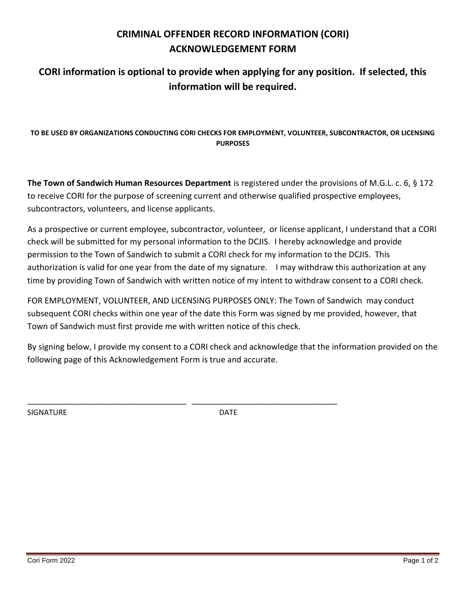## **CRIMINAL OFFENDER RECORD INFORMATION (CORI) ACKNOWLEDGEMENT FORM**

## **CORI information is optional to provide when applying for any position. If selected, this information will be required.**

## **TO BE USED BY ORGANIZATIONS CONDUCTING CORI CHECKS FOR EMPLOYMENT, VOLUNTEER, SUBCONTRACTOR, OR LICENSING PURPOSES**

**The Town of Sandwich Human Resources Department** is registered under the provisions of M.G.L. c. 6, § 172 to receive CORI for the purpose of screening current and otherwise qualified prospective employees, subcontractors, volunteers, and license applicants.

As a prospective or current employee, subcontractor, volunteer, or license applicant, I understand that a CORI check will be submitted for my personal information to the DCJIS. I hereby acknowledge and provide permission to the Town of Sandwich to submit a CORI check for my information to the DCJIS. This authorization is valid for one year from the date of my signature. I may withdraw this authorization at any time by providing Town of Sandwich with written notice of my intent to withdraw consent to a CORI check.

FOR EMPLOYMENT, VOLUNTEER, AND LICENSING PURPOSES ONLY: The Town of Sandwich may conduct subsequent CORI checks within one year of the date this Form was signed by me provided, however, that Town of Sandwich must first provide me with written notice of this check.

By signing below, I provide my consent to a CORI check and acknowledge that the information provided on the following page of this Acknowledgement Form is true and accurate.

SIGNATURE DATE

\_\_\_\_\_\_\_\_\_\_\_\_\_\_\_\_\_\_\_\_\_\_\_\_\_\_\_\_\_\_\_\_\_\_\_ \_\_\_\_\_\_\_\_\_\_\_\_\_\_\_\_\_\_\_\_\_\_\_\_\_\_\_\_\_\_\_\_